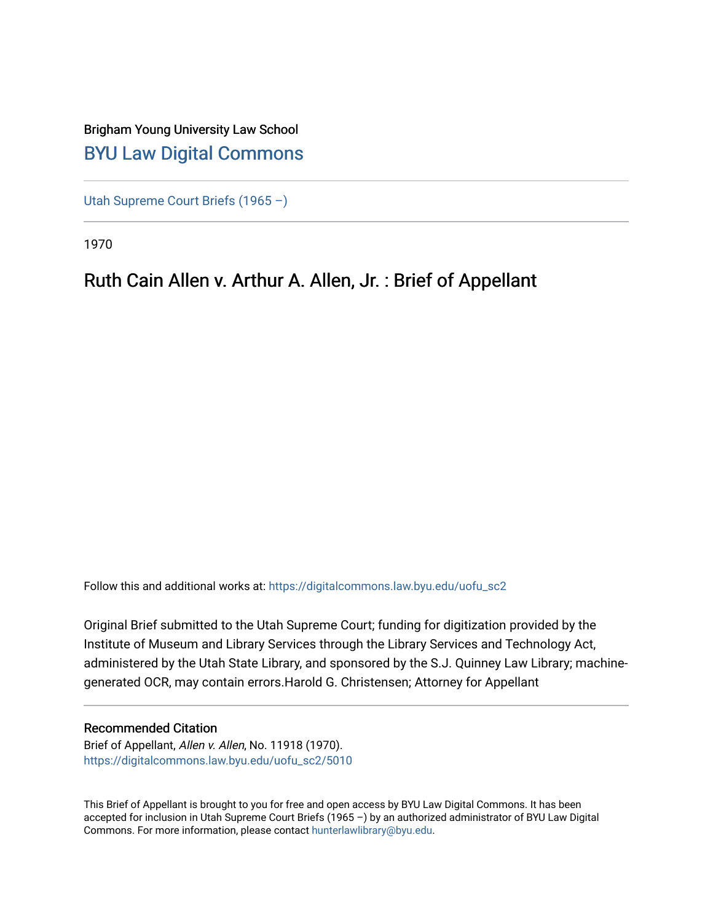## Brigham Young University Law School [BYU Law Digital Commons](https://digitalcommons.law.byu.edu/)

[Utah Supreme Court Briefs \(1965 –\)](https://digitalcommons.law.byu.edu/uofu_sc2)

1970

## Ruth Cain Allen v. Arthur A. Allen, Jr. : Brief of Appellant

Follow this and additional works at: [https://digitalcommons.law.byu.edu/uofu\\_sc2](https://digitalcommons.law.byu.edu/uofu_sc2?utm_source=digitalcommons.law.byu.edu%2Fuofu_sc2%2F5010&utm_medium=PDF&utm_campaign=PDFCoverPages)

Original Brief submitted to the Utah Supreme Court; funding for digitization provided by the Institute of Museum and Library Services through the Library Services and Technology Act, administered by the Utah State Library, and sponsored by the S.J. Quinney Law Library; machinegenerated OCR, may contain errors.Harold G. Christensen; Attorney for Appellant

#### Recommended Citation

Brief of Appellant, Allen v. Allen, No. 11918 (1970). [https://digitalcommons.law.byu.edu/uofu\\_sc2/5010](https://digitalcommons.law.byu.edu/uofu_sc2/5010?utm_source=digitalcommons.law.byu.edu%2Fuofu_sc2%2F5010&utm_medium=PDF&utm_campaign=PDFCoverPages) 

This Brief of Appellant is brought to you for free and open access by BYU Law Digital Commons. It has been accepted for inclusion in Utah Supreme Court Briefs (1965 –) by an authorized administrator of BYU Law Digital Commons. For more information, please contact [hunterlawlibrary@byu.edu](mailto:hunterlawlibrary@byu.edu).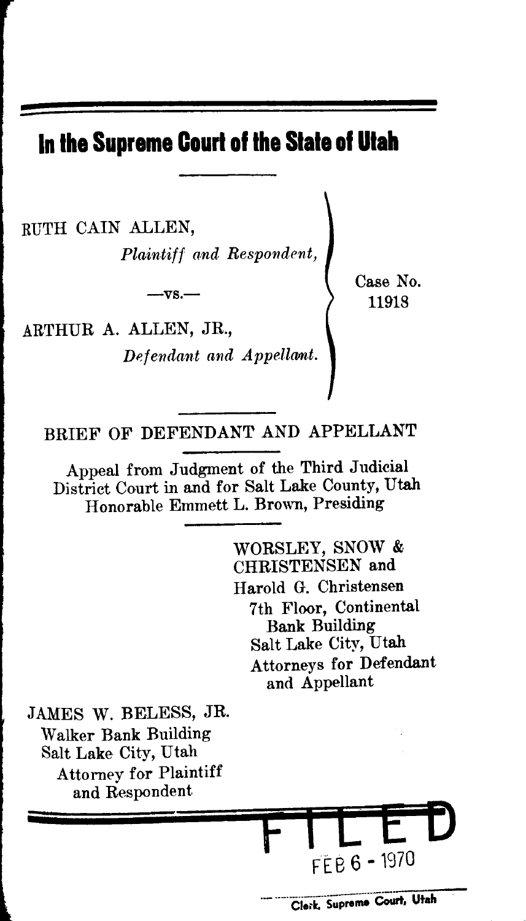# **In the Supreme Court of the Stale of Utah**

RUTH CAIN ALLEN,

*Plaintiff and Respondent,* 

 $-vs.$ —

ARTHUR A. ALLEN, JR., *Defendant and Appellant.*  Case No. 11918

BRIEF OF DEFENDANT AND APPELLANT

Appeal from Judgment of the Third Judicial District Court in and for Salt Lake County, Utah Honorable Emmett L. Brown, Presiding

> WORSLEY, SNOW & CHRISTENSEN and Harold G. Christensen 7th Floor, Continental Bank Building Salt Lake City, Utah Attorneys for Defendant and Appellant

JAMES W. BELESS, JR. Walker Bank Building Salt Lake City, Utah Attorney for Plaintiff and Respondent

**tr** 

**F1LEEJ** 

 $FEB 6 - 1970$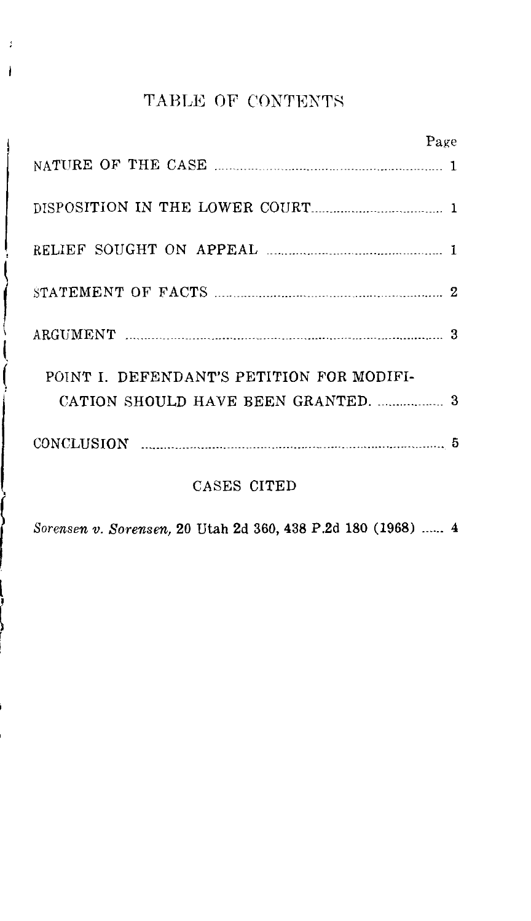## TABLE OF CONTENTS

| Page                                      |  |
|-------------------------------------------|--|
|                                           |  |
|                                           |  |
|                                           |  |
|                                           |  |
| З                                         |  |
| POINT I. DEFENDANT'S PETITION FOR MODIFI- |  |
|                                           |  |
|                                           |  |
| CASES CITED                               |  |

l

 $\overline{\phantom{a}}$ 

f *So""'"'•· Sorensen,* 20 Utah 2d 360, 438 P.2d 180 (1968) ...... 4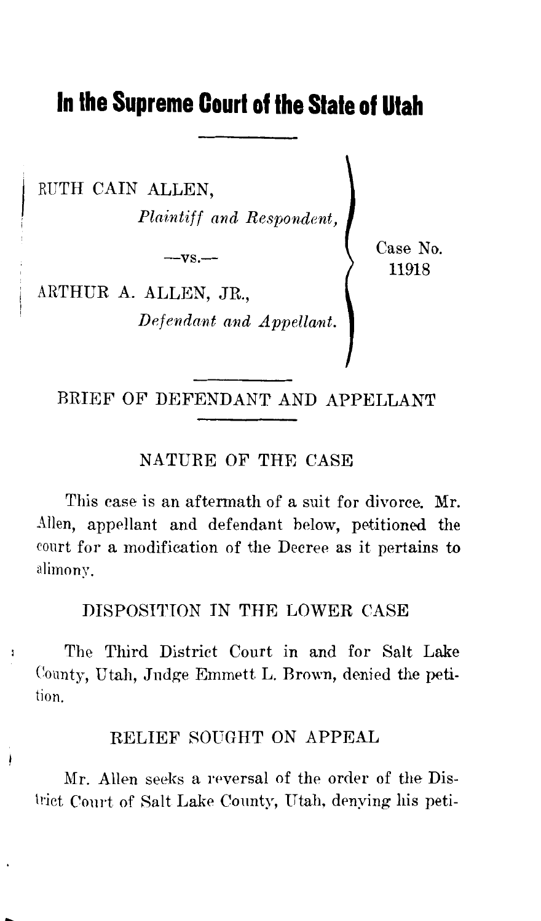# **In the Supreme Court of the Stale of Utah**

RUTH CAIN ALLEN, *Plaintiff and Respondent,* 

 $-**vs.**$ 

Case No. 11918

ARTHUR A. ALLEN, JR.,

 $\ddot{\phantom{a}}$ 

 $Define$  *Defendant and Appellant.* 

BRIEF OF DEFENDANT AND APPELLANT

#### NATURE OF THE CASE

This case is an aftermath of a suit for divorce. Mr. Allen, appellant and defendant below, petitioned the court for a modification of the Decree as it pertains to alimony.

DISPOSITION IN THE LOWER CASE

The Third District Court in and for Salt Lake County, Utah, Judge Emmett L. Brown, denied the petition.

### RELIEF SOUGHT ON APPEAL

Mr. Allen seeks a reversal of the order of the District Conrt of Salt Lake County, Utah, denying his peti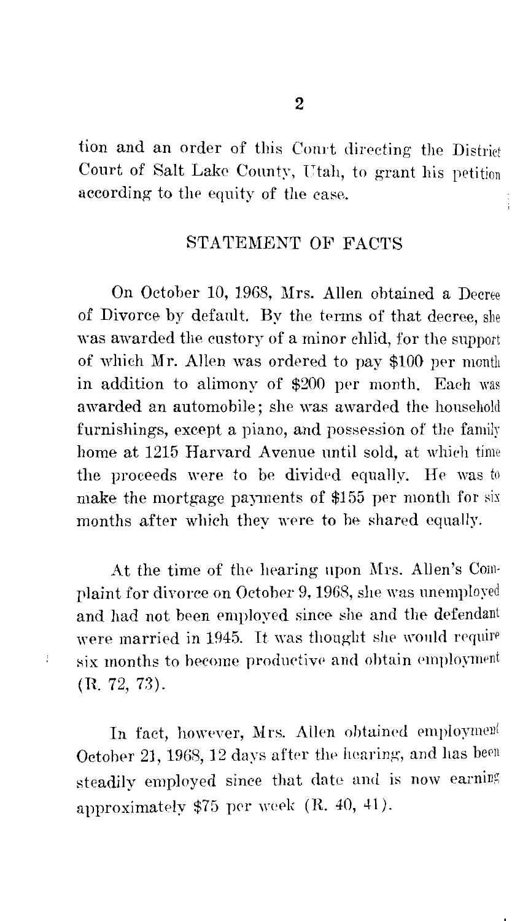tion and an order of this Court directing the District Court of Salt Lake County, Utah, to grant his petition according to the equity of the case.

#### STATEMENT OF FACTS

On October 10, 1968, Mrs. Allen obtained a Decree of Divorce by default. By the terms of that decree, she was awarded the custory of a minor chlid, for the support of which Mr. Allen was ordered to pay \$100 per month in addition to alimony of \$200 per month. Each was awarded an automobile; she was awarded the household furnishings, except a piano, and possession of the family home at 1215 Harvard Avenue until sold, at which time the proceeds were to be divided equally. He was to make the mortgage payments of \$155 per month for months after which they were to be shared equally.

At the time of the hearing upon Mrs. Allen's Complaint for divorce on October 9, 1968, she was unemployed and had not been employed since she and the defendant were married in 1945. It was thought she would require six months to become productive and obtain employment (R. 72, 73).

 $\ddot{i}$ 

In fact, however, Mrs. Allen obtained employment October 21, 1968, 12 days after the hearing, and has been steadily employed since that date and is now earning approximately  $$75$  per week (R. 40, 41).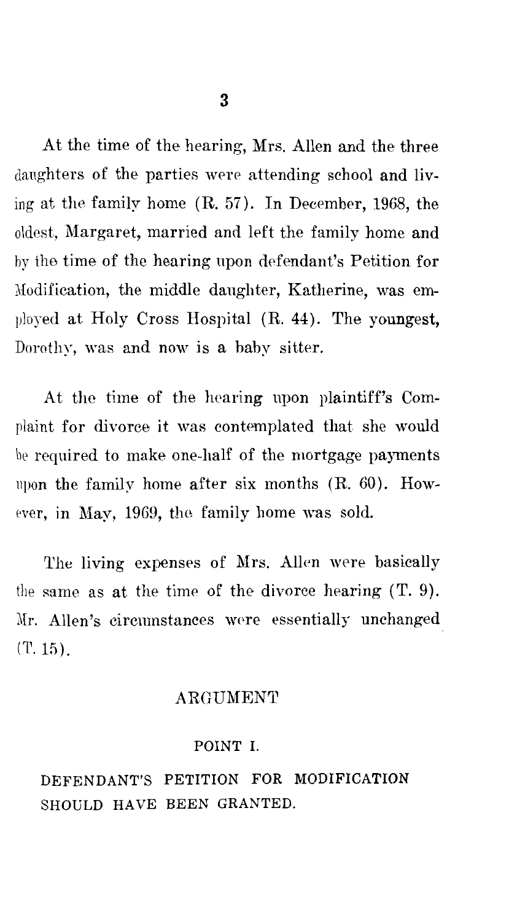At the time of the hearing, Mrs. Allen and the three daughters of the parties were attending school and living at the family home (R. 57). In December, 1968, the oldest, Margaret, married and left the family home and by the time of the hearing upon defendant's Petition for 1Iodification, the middle daughter, Katherine, was employed at Holy Cross Hospital (R. 44). The youngest, Dorothy, was and now is a baby sitter.

At the time of the hearing upon plaintiff's Complaint for divorce it was contemplated that she would be required to make one-half of the mortgage payments upon the family home after six months (R. 60). However, in May, 1969, the family home was sold.

The living expenses of Mrs. Allen were basically the same as at the time of the divorce hearing (T. 9). Mr. Allen's circumstances were essentially unchanged  $(T. 15)$ .

#### **ARGUMENT**

#### POINT I.

DEFENDANT'S PETITION FOR MODIFICATION SHOULD HAVE BEEN GRANTED.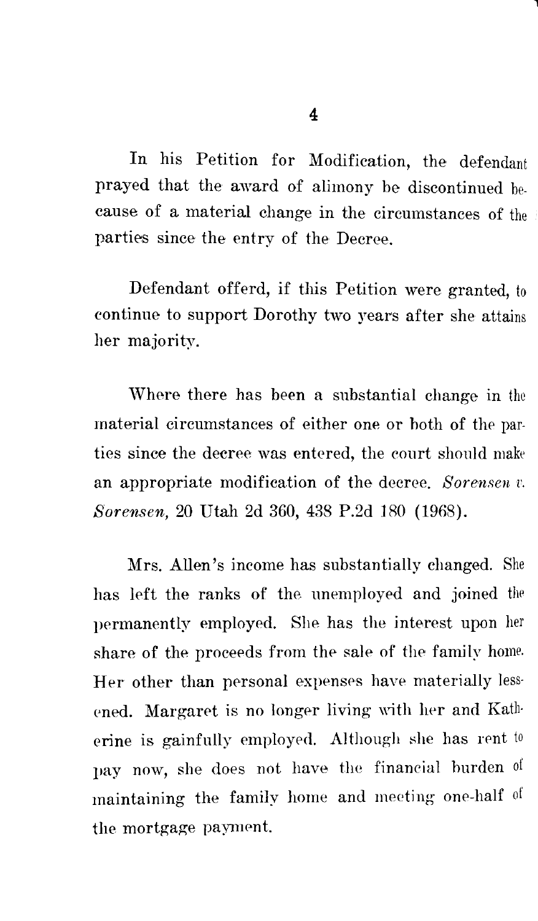In his Petition for Modification, the defendant prayed that the award of alimony be discontinued because of a material change in the circumstances of the parties since the entry of the Decree.

Defendant offerd, if this Petition were granted, to continue to support Dorothy two years after she attains her majority.

Where there has been a substantial change in the material circumstances of either one or both of the parties since the decree was entered, the court should make an appropriate modification of the decree. *Sorensen v. Sorensen,* 20 Utah 2d 360, 438 P.2d 180 (1968).

Mrs. Allen's income has substantially changed. She has left the ranks of the unemployed and joined the permanently employed. She has the interest upon her share of the proceeds from the sale of the family home. Her other than personal expenses have materially lessened. Margaret is no longer living with her and Katherine is gainfully employed. Although she has rent to pay now, she does not have the financial burden of maintaining the family home and meeting one-half of the mortgage payment.

l